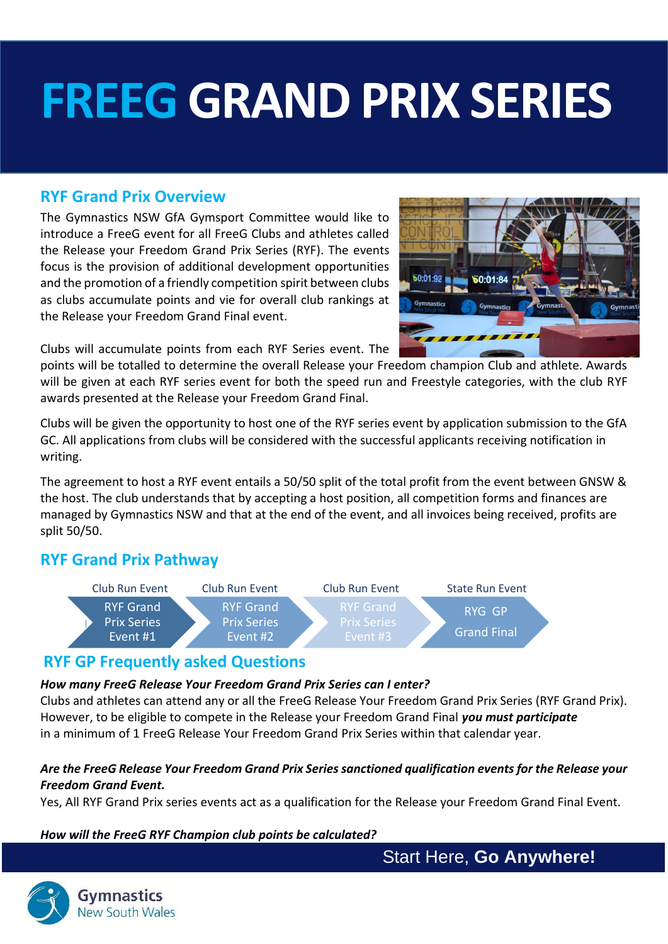# **FREEG GRAND PRIX SERIES**

## **RYF Grand Prix Overview**

The Gymnastics NSW GfA Gymsport Committee would like to introduce a FreeG event for all FreeG Clubs and athletes called the Release your Freedom Grand Prix Series (RYF). The events focus is the provision of additional development opportunities and the promotion of a friendly competition spirit between clubs as clubs accumulate points and vie for overall club rankings at the Release your Freedom Grand Final event.



Clubs will accumulate points from each RYF Series event. The

points will be totalled to determine the overall Release your Freedom champion Club and athlete. Awards will be given at each RYF series event for both the speed run and Freestyle categories, with the club RYF awards presented at the Release your Freedom Grand Final.

Clubs will be given the opportunity to host one of the RYF series event by application submission to the GfA GC. All applications from clubs will be considered with the successful applicants receiving notification in writing.

The agreement to host a RYF event entails a 50/50 split of the total profit from the event between GNSW & the host. The club understands that by accepting a host position, all competition forms and finances are managed by Gymnastics NSW and that at the end of the event, and all invoices being received, profits are split 50/50.

## **RYF Grand Prix Pathway**



### **RYF GP Frequently asked Questions**

#### *How many FreeG Release Your Freedom Grand Prix Series can I enter?*

Clubs and athletes can attend any or all the FreeG Release Your Freedom Grand Prix Series (RYF Grand Prix). However, to be eligible to compete in the Release your Freedom Grand Final *you must participate*  in a minimum of 1 FreeG Release Your Freedom Grand Prix Series within that calendar year.

#### *Are the FreeG Release Your Freedom Grand Prix Series sanctioned qualification events for the Release your Freedom Grand Event.*

Yes, All RYF Grand Prix series events act as a qualification for the Release your Freedom Grand Final Event.

#### *How will the FreeG RYF Champion club points be calculated?*

Start Here, **Go Anywhere!**